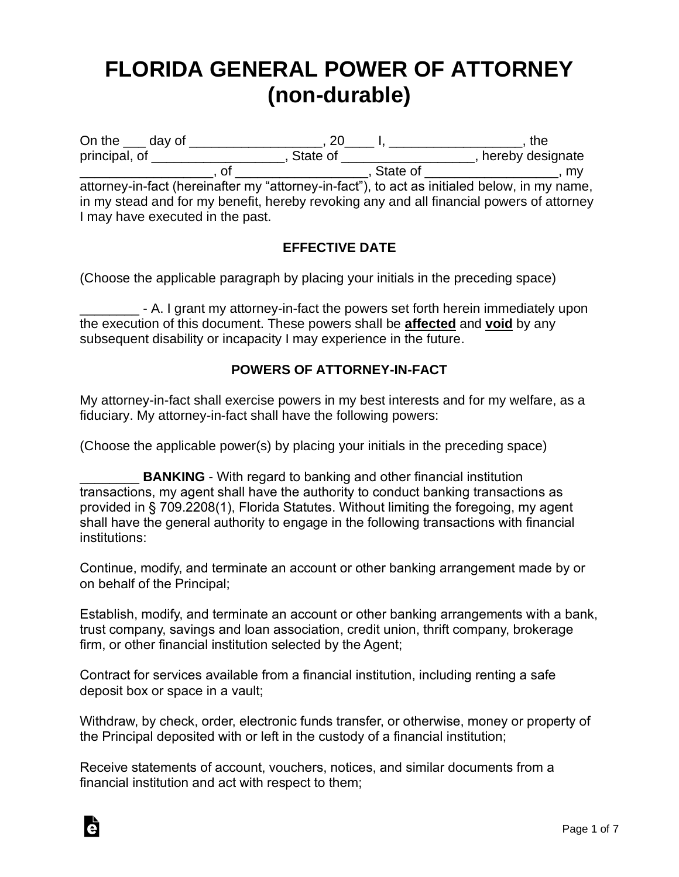# **FLORIDA GENERAL POWER OF ATTORNEY (non-durable)**

On the \_\_\_ day of \_\_\_\_\_\_\_\_\_\_\_\_\_\_\_\_\_\_, 20\_\_\_\_ I, \_\_\_\_\_\_\_\_\_\_\_\_\_\_\_\_\_\_, the principal, of \_\_\_\_\_\_\_\_\_\_\_\_\_\_\_\_\_\_\_\_\_, State of \_\_\_\_\_\_\_\_\_\_\_\_\_\_\_\_\_\_\_\_, hereby designate \_\_\_\_\_\_\_\_\_\_\_\_\_\_\_\_\_\_, of \_\_\_\_\_\_\_\_\_\_\_\_\_\_\_\_\_\_, State of \_\_\_\_\_\_\_\_\_\_\_\_\_\_\_\_\_\_, my

attorney-in-fact (hereinafter my "attorney-in-fact"), to act as initialed below, in my name, in my stead and for my benefit, hereby revoking any and all financial powers of attorney I may have executed in the past.

## **EFFECTIVE DATE**

(Choose the applicable paragraph by placing your initials in the preceding space)

\_\_\_\_\_\_\_\_ - A. I grant my attorney-in-fact the powers set forth herein immediately upon the execution of this document. These powers shall be **affected** and **void** by any subsequent disability or incapacity I may experience in the future.

## **POWERS OF ATTORNEY-IN-FACT**

My attorney-in-fact shall exercise powers in my best interests and for my welfare, as a fiduciary. My attorney-in-fact shall have the following powers:

(Choose the applicable power(s) by placing your initials in the preceding space)

**EXAMENT - With regard to banking and other financial institution** transactions, my agent shall have the authority to conduct banking transactions as provided in § 709.2208(1), Florida Statutes. Without limiting the foregoing, my agent shall have the general authority to engage in the following transactions with financial institutions:

Continue, modify, and terminate an account or other banking arrangement made by or on behalf of the Principal;

Establish, modify, and terminate an account or other banking arrangements with a bank, trust company, savings and loan association, credit union, thrift company, brokerage firm, or other financial institution selected by the Agent;

Contract for services available from a financial institution, including renting a safe deposit box or space in a vault;

Withdraw, by check, order, electronic funds transfer, or otherwise, money or property of the Principal deposited with or left in the custody of a financial institution;

Receive statements of account, vouchers, notices, and similar documents from a financial institution and act with respect to them;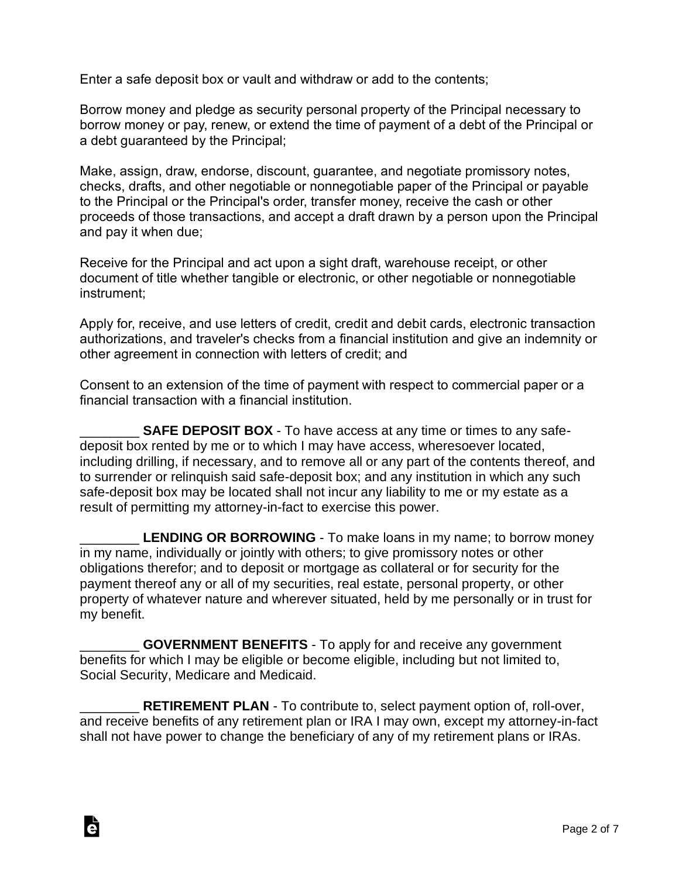Enter a safe deposit box or vault and withdraw or add to the contents;

Borrow money and pledge as security personal property of the Principal necessary to borrow money or pay, renew, or extend the time of payment of a debt of the Principal or a debt guaranteed by the Principal;

Make, assign, draw, endorse, discount, guarantee, and negotiate promissory notes, checks, drafts, and other negotiable or nonnegotiable paper of the Principal or payable to the Principal or the Principal's order, transfer money, receive the cash or other proceeds of those transactions, and accept a draft drawn by a person upon the Principal and pay it when due;

Receive for the Principal and act upon a sight draft, warehouse receipt, or other document of title whether tangible or electronic, or other negotiable or nonnegotiable instrument;

Apply for, receive, and use letters of credit, credit and debit cards, electronic transaction authorizations, and traveler's checks from a financial institution and give an indemnity or other agreement in connection with letters of credit; and

Consent to an extension of the time of payment with respect to commercial paper or a financial transaction with a financial institution.

**SAFE DEPOSIT BOX** - To have access at any time or times to any safedeposit box rented by me or to which I may have access, wheresoever located, including drilling, if necessary, and to remove all or any part of the contents thereof, and to surrender or relinquish said safe-deposit box; and any institution in which any such safe-deposit box may be located shall not incur any liability to me or my estate as a result of permitting my attorney-in-fact to exercise this power.

**LENDING OR BORROWING** - To make loans in my name; to borrow money in my name, individually or jointly with others; to give promissory notes or other obligations therefor; and to deposit or mortgage as collateral or for security for the payment thereof any or all of my securities, real estate, personal property, or other property of whatever nature and wherever situated, held by me personally or in trust for my benefit.

**GOVERNMENT BENEFITS** - To apply for and receive any government benefits for which I may be eligible or become eligible, including but not limited to, Social Security, Medicare and Medicaid.

Ġ

**RETIREMENT PLAN** - To contribute to, select payment option of, roll-over, and receive benefits of any retirement plan or IRA I may own, except my attorney-in-fact shall not have power to change the beneficiary of any of my retirement plans or IRAs.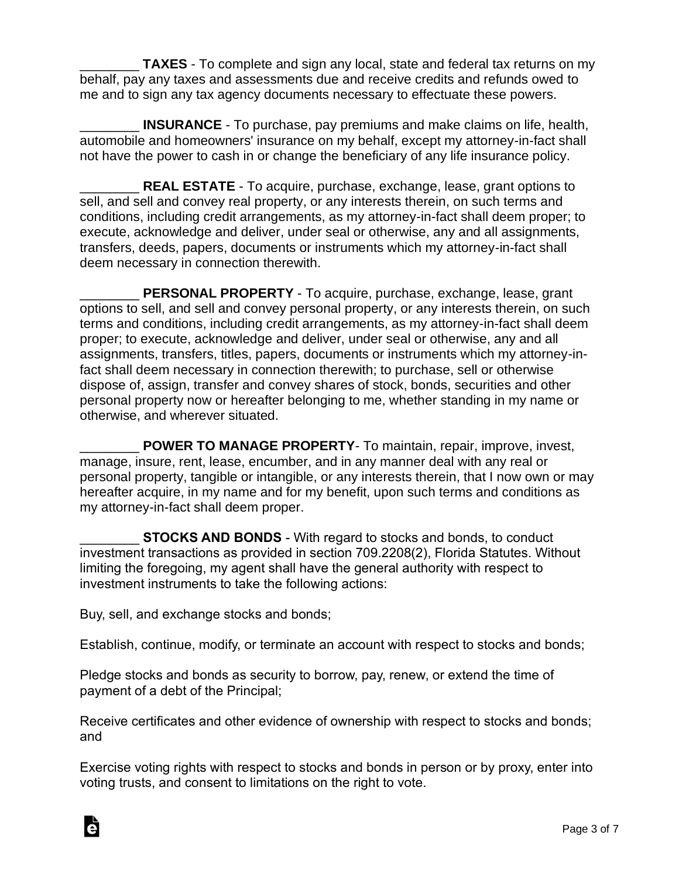**TAXES** - To complete and sign any local, state and federal tax returns on my behalf, pay any taxes and assessments due and receive credits and refunds owed to me and to sign any tax agency documents necessary to effectuate these powers.

\_\_\_\_\_\_\_\_ **INSURANCE** - To purchase, pay premiums and make claims on life, health, automobile and homeowners' insurance on my behalf, except my attorney-in-fact shall not have the power to cash in or change the beneficiary of any life insurance policy.

**REAL ESTATE** - To acquire, purchase, exchange, lease, grant options to sell, and sell and convey real property, or any interests therein, on such terms and conditions, including credit arrangements, as my attorney-in-fact shall deem proper; to execute, acknowledge and deliver, under seal or otherwise, any and all assignments, transfers, deeds, papers, documents or instruments which my attorney-in-fact shall deem necessary in connection therewith.

PERSONAL PROPERTY - To acquire, purchase, exchange, lease, grant options to sell, and sell and convey personal property, or any interests therein, on such terms and conditions, including credit arrangements, as my attorney-in-fact shall deem proper; to execute, acknowledge and deliver, under seal or otherwise, any and all assignments, transfers, titles, papers, documents or instruments which my attorney-infact shall deem necessary in connection therewith; to purchase, sell or otherwise dispose of, assign, transfer and convey shares of stock, bonds, securities and other personal property now or hereafter belonging to me, whether standing in my name or otherwise, and wherever situated.

POWER TO MANAGE PROPERTY- To maintain, repair, improve, invest, manage, insure, rent, lease, encumber, and in any manner deal with any real or personal property, tangible or intangible, or any interests therein, that I now own or may hereafter acquire, in my name and for my benefit, upon such terms and conditions as my attorney-in-fact shall deem proper.

**STOCKS AND BONDS** - With regard to stocks and bonds, to conduct investment transactions as provided in section 709.2208(2), Florida Statutes. Without limiting the foregoing, my agent shall have the general authority with respect to investment instruments to take the following actions:

Buy, sell, and exchange stocks and bonds;

Ġ

Establish, continue, modify, or terminate an account with respect to stocks and bonds;

Pledge stocks and bonds as security to borrow, pay, renew, or extend the time of payment of a debt of the Principal;

Receive certificates and other evidence of ownership with respect to stocks and bonds; and

Exercise voting rights with respect to stocks and bonds in person or by proxy, enter into voting trusts, and consent to limitations on the right to vote.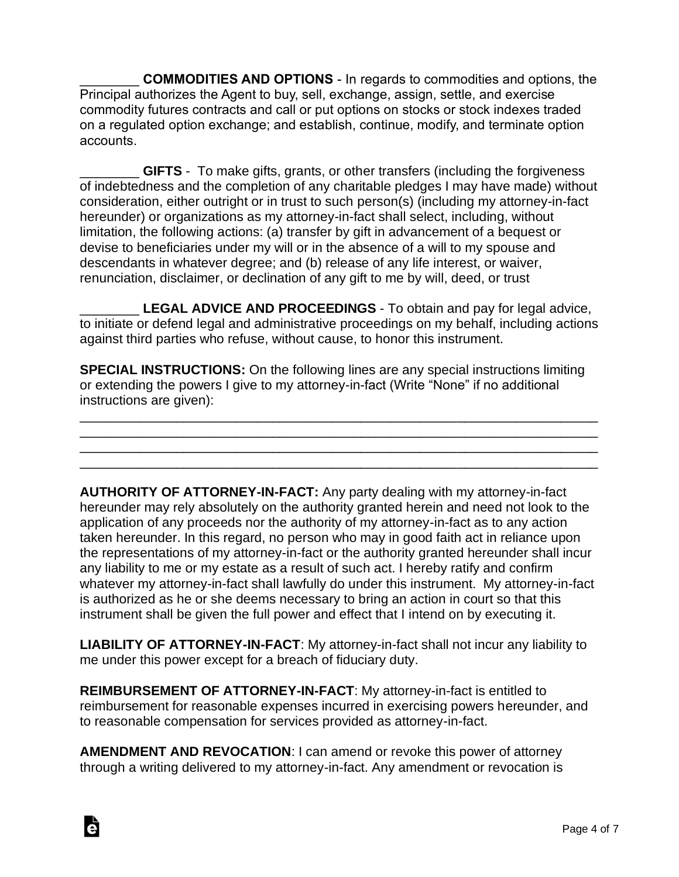\_\_\_\_\_\_\_\_ **COMMODITIES AND OPTIONS** - In regards to commodities and options, the Principal authorizes the Agent to buy, sell, exchange, assign, settle, and exercise commodity futures contracts and call or put options on stocks or stock indexes traded on a regulated option exchange; and establish, continue, modify, and terminate option accounts.

**GIFTS** - To make gifts, grants, or other transfers (including the forgiveness of indebtedness and the completion of any charitable pledges I may have made) without consideration, either outright or in trust to such person(s) (including my attorney-in-fact hereunder) or organizations as my attorney-in-fact shall select, including, without limitation, the following actions: (a) transfer by gift in advancement of a bequest or devise to beneficiaries under my will or in the absence of a will to my spouse and descendants in whatever degree; and (b) release of any life interest, or waiver, renunciation, disclaimer, or declination of any gift to me by will, deed, or trust

LEGAL ADVICE AND PROCEEDINGS - To obtain and pay for legal advice, to initiate or defend legal and administrative proceedings on my behalf, including actions against third parties who refuse, without cause, to honor this instrument.

**SPECIAL INSTRUCTIONS:** On the following lines are any special instructions limiting or extending the powers I give to my attorney-in-fact (Write "None" if no additional instructions are given):

\_\_\_\_\_\_\_\_\_\_\_\_\_\_\_\_\_\_\_\_\_\_\_\_\_\_\_\_\_\_\_\_\_\_\_\_\_\_\_\_\_\_\_\_\_\_\_\_\_\_\_\_\_\_\_\_\_\_\_\_\_\_\_\_\_\_\_\_\_\_ \_\_\_\_\_\_\_\_\_\_\_\_\_\_\_\_\_\_\_\_\_\_\_\_\_\_\_\_\_\_\_\_\_\_\_\_\_\_\_\_\_\_\_\_\_\_\_\_\_\_\_\_\_\_\_\_\_\_\_\_\_\_\_\_\_\_\_\_\_\_ \_\_\_\_\_\_\_\_\_\_\_\_\_\_\_\_\_\_\_\_\_\_\_\_\_\_\_\_\_\_\_\_\_\_\_\_\_\_\_\_\_\_\_\_\_\_\_\_\_\_\_\_\_\_\_\_\_\_\_\_\_\_\_\_\_\_\_\_\_\_ \_\_\_\_\_\_\_\_\_\_\_\_\_\_\_\_\_\_\_\_\_\_\_\_\_\_\_\_\_\_\_\_\_\_\_\_\_\_\_\_\_\_\_\_\_\_\_\_\_\_\_\_\_\_\_\_\_\_\_\_\_\_\_\_\_\_\_\_\_\_

**AUTHORITY OF ATTORNEY-IN-FACT:** Any party dealing with my attorney-in-fact hereunder may rely absolutely on the authority granted herein and need not look to the application of any proceeds nor the authority of my attorney-in-fact as to any action taken hereunder. In this regard, no person who may in good faith act in reliance upon the representations of my attorney-in-fact or the authority granted hereunder shall incur any liability to me or my estate as a result of such act. I hereby ratify and confirm whatever my attorney-in-fact shall lawfully do under this instrument. My attorney-in-fact is authorized as he or she deems necessary to bring an action in court so that this instrument shall be given the full power and effect that I intend on by executing it.

**LIABILITY OF ATTORNEY-IN-FACT**: My attorney-in-fact shall not incur any liability to me under this power except for a breach of fiduciary duty.

**REIMBURSEMENT OF ATTORNEY-IN-FACT**: My attorney-in-fact is entitled to reimbursement for reasonable expenses incurred in exercising powers hereunder, and to reasonable compensation for services provided as attorney-in-fact.

**AMENDMENT AND REVOCATION**: I can amend or revoke this power of attorney through a writing delivered to my attorney-in-fact. Any amendment or revocation is

Ġ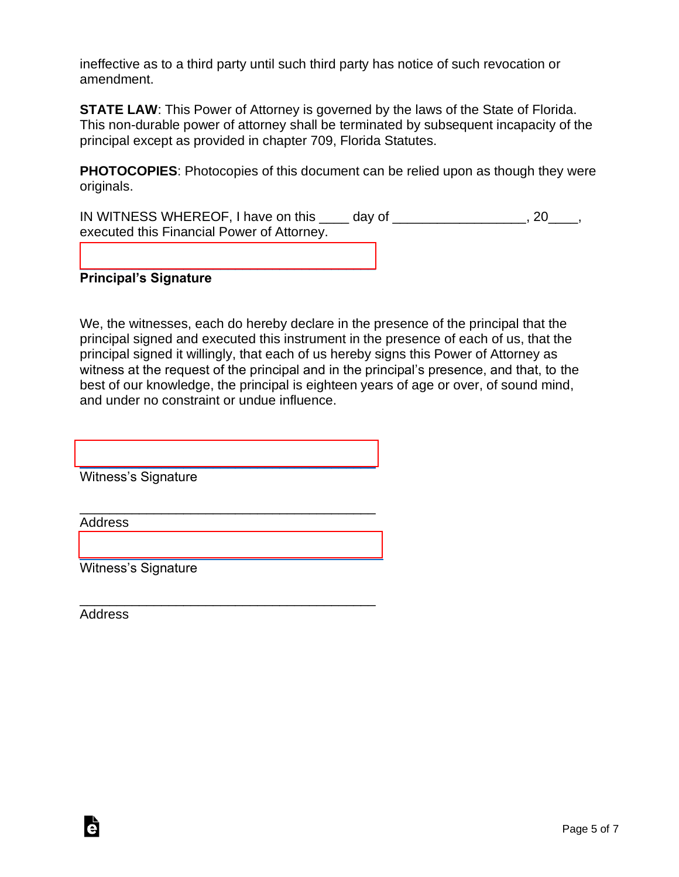ineffective as to a third party until such third party has notice of such revocation or amendment.

**STATE LAW:** This Power of Attorney is governed by the laws of the State of Florida. This non-durable power of attorney shall be terminated by subsequent incapacity of the principal except as provided in chapter 709, Florida Statutes.

**PHOTOCOPIES**: Photocopies of this document can be relied upon as though they were originals.

IN WITNESS WHEREOF, I have on this \_\_\_\_ day of \_\_\_\_\_\_\_\_\_\_\_\_\_\_\_\_\_\_, 20\_\_\_\_, executed this Financial Power of Attorney.

#### [\\_\\_\\_\\_\\_\\_\\_\\_\\_\\_\\_\\_\\_\\_\\_\\_\\_\\_\\_\\_\\_\\_\\_\\_\\_\\_\\_\\_\\_\\_\\_\\_\\_\\_\\_\\_\\_\\_\\_\\_](https://esign.com) **Principal's Signature**

We, the witnesses, each do hereby declare in the presence of the principal that the principal signed and executed this instrument in the presence of each of us, that the principal signed it willingly, that each of us hereby signs this Power of Attorney as witness at the request of the principal and in the principal's presence, and that, to the best of our knowledge, the principal is eighteen years of age or over, of sound mind, and under no constraint or undue influence.

Witness's Signature

[\\_\\_\\_\\_\\_\\_\\_\\_\\_\\_\\_\\_\\_\\_\\_\\_\\_\\_\\_\\_\\_\\_\\_\\_\\_\\_\\_\\_\\_\\_\\_\\_\\_\\_\\_\\_\\_\\_\\_\\_](https://esign.com)

\_\_\_\_\_\_\_\_\_\_\_\_\_\_\_\_\_\_\_\_\_\_\_\_\_\_\_\_\_\_\_\_\_\_\_\_\_\_\_\_

[\\_\\_\\_\\_\\_\\_\\_\\_\\_\\_\\_\\_\\_\\_\\_\\_\\_\\_\\_\\_\\_\\_\\_\\_\\_\\_\\_\\_\\_\\_\\_\\_\\_\\_\\_\\_\\_\\_\\_\\_\\_](https://esign.com)

\_\_\_\_\_\_\_\_\_\_\_\_\_\_\_\_\_\_\_\_\_\_\_\_\_\_\_\_\_\_\_\_\_\_\_\_\_\_\_\_

Address

Witness's Signature

Address

Ġ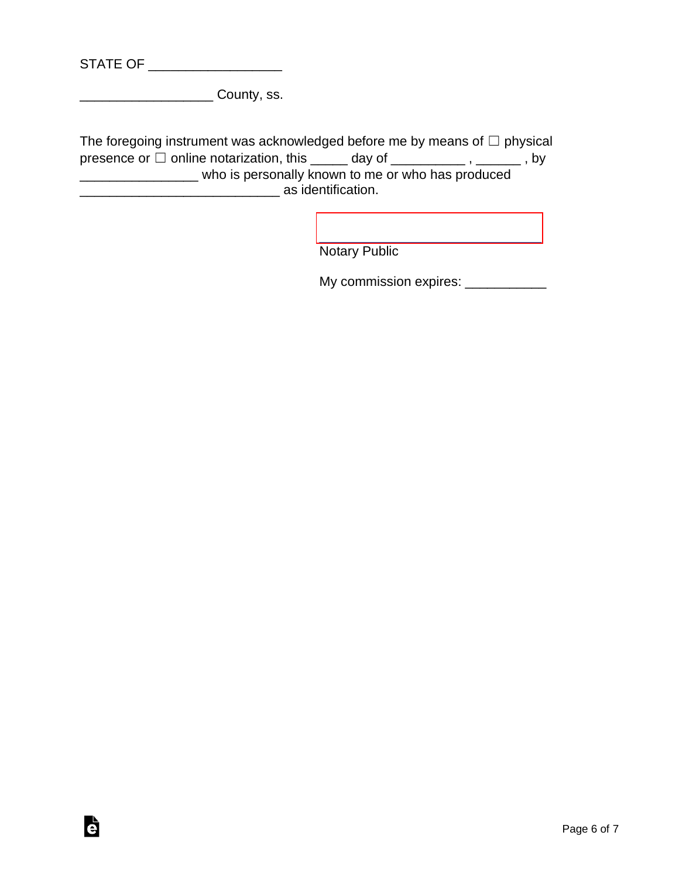| <b>STATE OF</b> |  |
|-----------------|--|
|-----------------|--|

\_\_\_\_\_\_\_\_\_\_\_\_\_\_\_\_\_\_ County, ss.

The foregoing instrument was acknowledged before me by means of  $\Box$  physical presence or  $\Box$  online notarization, this  $\Box$  day of  $\Box$   $\Box$ ,  $\Box$ ,  $\Box$ , by \_\_\_\_\_\_\_\_\_\_\_\_\_\_\_\_ who is personally known to me or who has produced \_\_\_\_\_\_\_\_\_\_\_\_\_\_\_\_\_\_\_\_\_\_\_\_\_\_\_ as identification.

> [\\_\\_\\_\\_\\_\\_\\_\\_\\_\\_\\_\\_\\_\\_\\_\\_\\_\\_\\_\\_\\_\\_\\_\\_\\_\\_\\_\\_\\_\\_](https://esign.com) Notary Public

My commission expires: \_\_\_\_\_\_\_\_\_\_\_\_